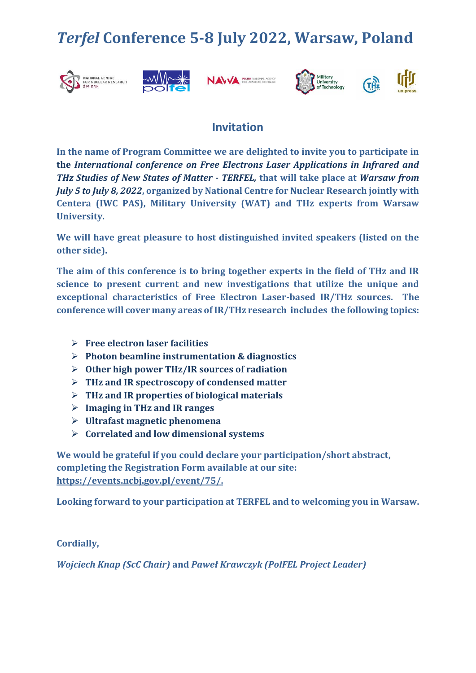## *Terfel* **Conference 5-8 July 2022, Warsaw, Poland**











## **Invitation**

**In the name of Program Committee we are delighted to invite you to participate in the** *International conference on Free Electrons Laser Applications in Infrared and THz Studies of New States of Matter - TERFEL,* **that will take place at** *Warsaw from July 5 to July 8, 2022***, organized by National Centre for Nuclear Research jointly with Centera (IWC PAS), Military University (WAT) and THz experts from Warsaw University.** 

**We will have great pleasure to host distinguished invited speakers (listed on the other side).** 

**The aim of this conference is to bring together experts in the field of THz and IR science to present current and new investigations that utilize the unique and exceptional characteristics of Free Electron Laser-based IR/THz sources. The conference will cover many areas of IR/THz research includes the following topics:**

- **Free electron laser facilities**
- **Photon beamline instrumentation & diagnostics**
- **Other high power THz/IR sources of radiation**
- **THz and IR spectroscopy of condensed matter**
- **THz and IR properties of biological materials**
- **Imaging in THz and IR ranges**
- **Ultrafast magnetic phenomena**
- **Correlated and low dimensional systems**

**We would be grateful if you could declare your participation/short abstract, completing the Registration Form available at our site: <https://events.ncbj.gov.pl/event/75/>.**

**Looking forward to your participation at TERFEL and to welcoming you in Warsaw.**

**Cordially,**

*Wojciech Knap (ScC Chair)* **and** *Paweł Krawczyk (PolFEL Project Leader)*